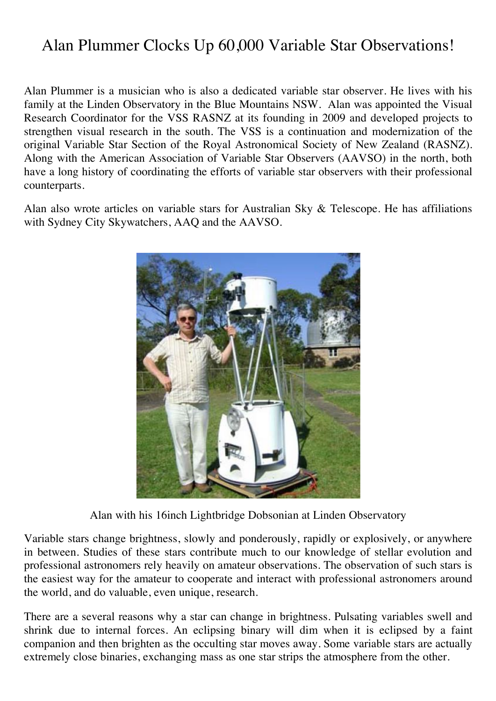## Alan Plummer Clocks Up 60,000 Variable Star Observations!

Alan Plummer is a musician who is also a dedicated variable star observer. He lives with his family at the Linden Observatory in the Blue Mountains NSW. Alan was appointed the Visual Research Coordinator for the VSS RASNZ at its founding in 2009 and developed projects to strengthen visual research in the south. The VSS is a continuation and modernization of the original Variable Star Section of the Royal Astronomical Society of New Zealand (RASNZ). Along with the American Association of Variable Star Observers (AAVSO) in the north, both have a long history of coordinating the efforts of variable star observers with their professional counterparts.

Alan also wrote articles on variable stars for Australian Sky & Telescope. He has affiliations with Sydney City Skywatchers, AAQ and the AAVSO.



Alan with his 16inch Lightbridge Dobsonian at Linden Observatory

Variable stars change brightness, slowly and ponderously, rapidly or explosively, or anywhere in between. Studies of these stars contribute much to our knowledge of stellar evolution and professional astronomers rely heavily on amateur observations. The observation of such stars is the easiest way for the amateur to cooperate and interact with professional astronomers around the world, and do valuable, even unique, research.

There are a several reasons why a star can change in brightness. Pulsating variables swell and shrink due to internal forces. An eclipsing binary will dim when it is eclipsed by a faint companion and then brighten as the occulting star moves away. Some variable stars are actually extremely close binaries, exchanging mass as one star strips the atmosphere from the other.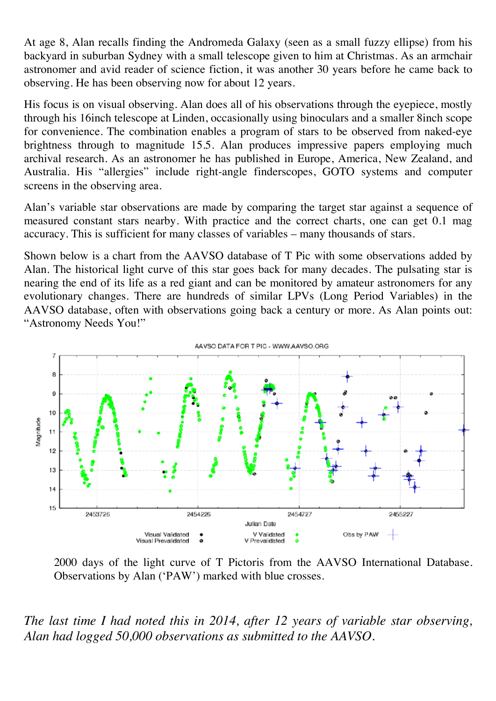At age 8, Alan recalls finding the Andromeda Galaxy (seen as a small fuzzy ellipse) from his backyard in suburban Sydney with a small telescope given to him at Christmas. As an armchair astronomer and avid reader of science fiction, it was another 30 years before he came back to observing. He has been observing now for about 12 years.

His focus is on visual observing. Alan does all of his observations through the eyepiece, mostly through his 16inch telescope at Linden, occasionally using binoculars and a smaller 8inch scope for convenience. The combination enables a program of stars to be observed from naked-eye brightness through to magnitude 15.5. Alan produces impressive papers employing much archival research. As an astronomer he has published in Europe, America, New Zealand, and Australia. His "allergies" include right-angle finderscopes, GOTO systems and computer screens in the observing area.

Alan's variable star observations are made by comparing the target star against a sequence of measured constant stars nearby. With practice and the correct charts, one can get 0.1 mag accuracy. This is sufficient for many classes of variables – many thousands of stars.

Shown below is a chart from the AAVSO database of T Pic with some observations added by Alan. The historical light curve of this star goes back for many decades. The pulsating star is nearing the end of its life as a red giant and can be monitored by amateur astronomers for any evolutionary changes. There are hundreds of similar LPVs (Long Period Variables) in the AAVSO database, often with observations going back a century or more. As Alan points out: "Astronomy Needs You!"



2000 days of the light curve of T Pictoris from the AAVSO International Database. Observations by Alan ('PAW') marked with blue crosses.

*The last time I had noted this in 2014, after 12 years of variable star observing, Alan had logged 50,000 observations as submitted to the AAVSO.*